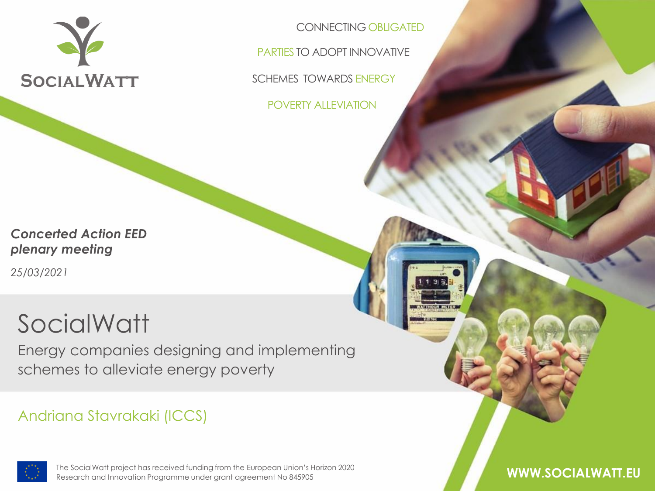

CONNECTING OBLIGATED

PARTIES TO ADOPT INNOVATIVE

SCHEMES TOWARDS ENERGY

POVERTY ALLEVIATION

*Concerted Action EED plenary meeting*

*25/03/2021*

### **SocialWatt**

Energy companies designing and implementing schemes to alleviate energy poverty

#### Andriana Stavrakaki (ICCS)



The SocialWatt project has received funding from the European Union's Horizon The SocialWatt project has received funding from the European Union's Horizon 2020 2020 Research and Innovation Programme under grant agreement No 845905 Research and Innovation Programme under grant agreement No 845905 **WWW.SOCIALWATT.EU**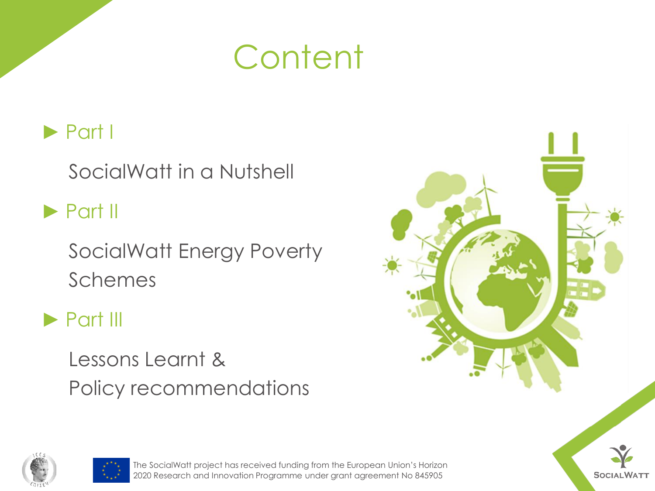### **Content**

### ► Part I

SocialWatt in a Nutshell

► Part II

SocialWatt Energy Poverty Schemes

### ► Part III

Lessons Learnt & Policy recommendations







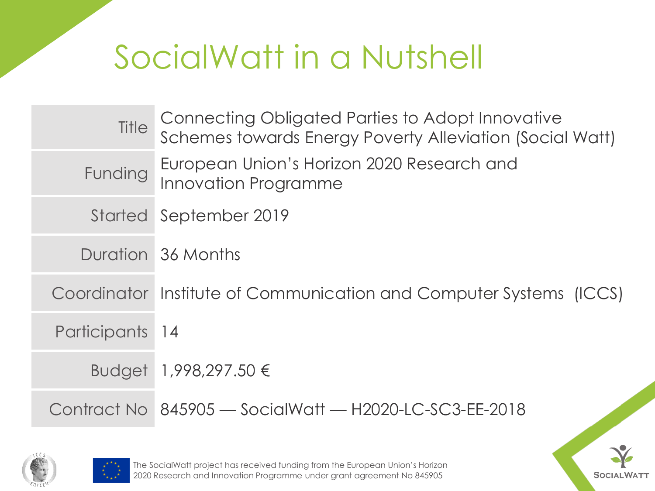| Title           | Connecting Obligated Parties to Adopt Innovative<br>Schemes towards Energy Poverty Alleviation (Social Watt) |
|-----------------|--------------------------------------------------------------------------------------------------------------|
| Funding         | European Union's Horizon 2020 Research and<br><b>Innovation Programme</b>                                    |
|                 | Started September 2019                                                                                       |
|                 | Duration 36 Months                                                                                           |
|                 | Coordinator Institute of Communication and Computer Systems (ICCS)                                           |
| Participants 14 |                                                                                                              |
|                 | Budget 1,998,297.50 €                                                                                        |
|                 | Contract No 845905 - SocialWatt - H2020-LC-SC3-EE-2018                                                       |



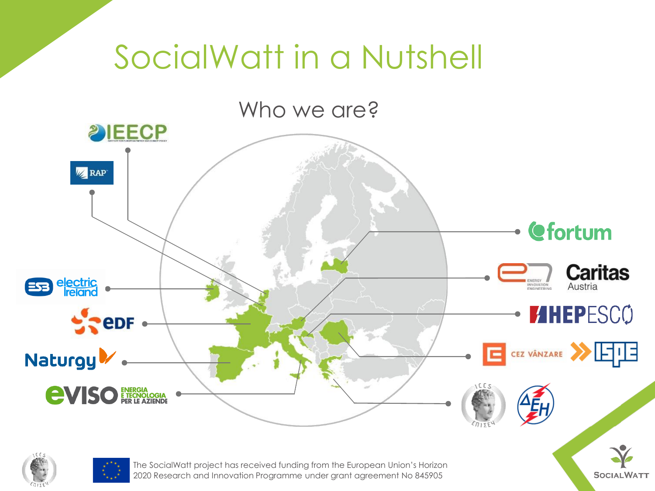



The SocialWatt project has received funding from the European Union's Horizon 2020 Research and Innovation Programme under grant agreement No 845905

**SOCIALWATT**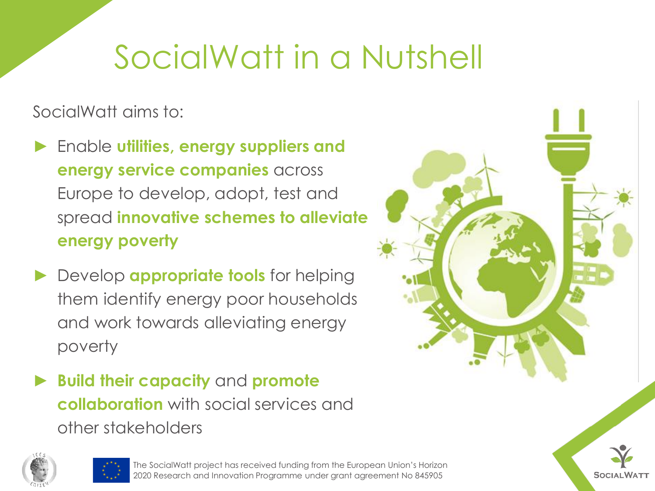SocialWatt aims to:

- ► Enable **utilities, energy suppliers and energy service companies** across Europe to develop, adopt, test and spread **innovative schemes to alleviate energy poverty**
- ► Develop **appropriate tools** for helping them identify energy poor households and work towards alleviating energy poverty
- ► **Build their capacity** and **promote collaboration** with social services and other stakeholders







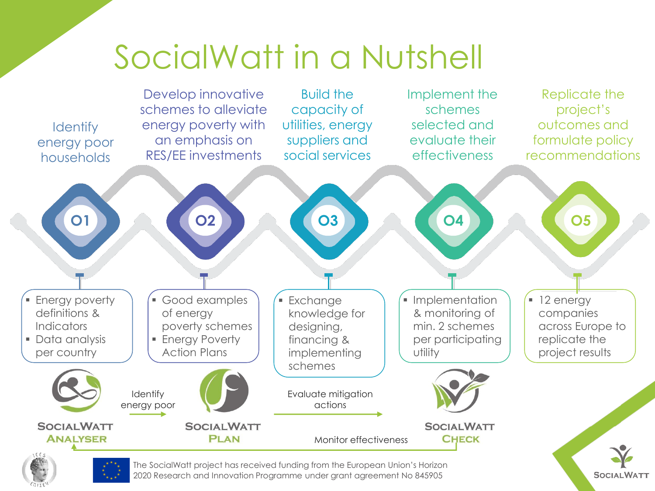

**SOCIALWATT** 

2020 Research and Innovation Programme under grant agreement No 845905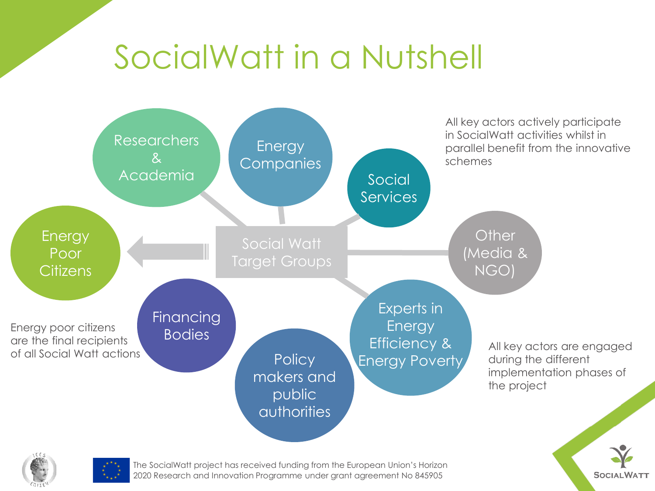

2020 Research and Innovation Programme under grant agreement No 845905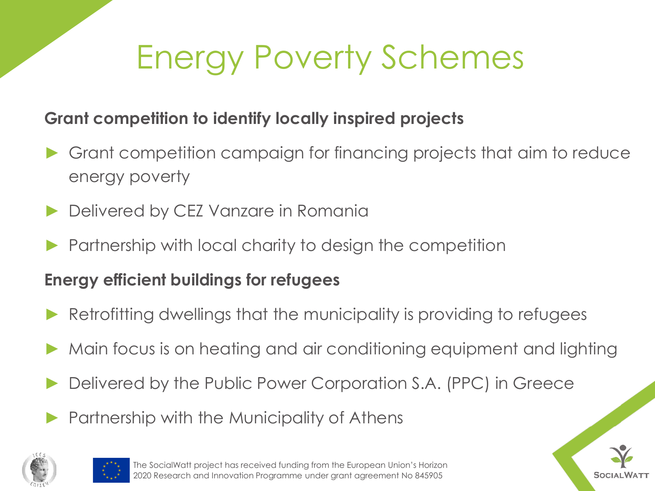#### **Grant competition to identify locally inspired projects**

- Grant competition campaign for financing projects that aim to reduce energy poverty
- Delivered by CEZ Vanzare in Romania
- Partnership with local charity to design the competition

#### **Energy efficient buildings for refugees**

- Retrofitting dwellings that the municipality is providing to refugees
- Main focus is on heating and air conditioning equipment and lighting
- Delivered by the Public Power Corporation S.A. (PPC) in Greece
- Partnership with the Municipality of Athens





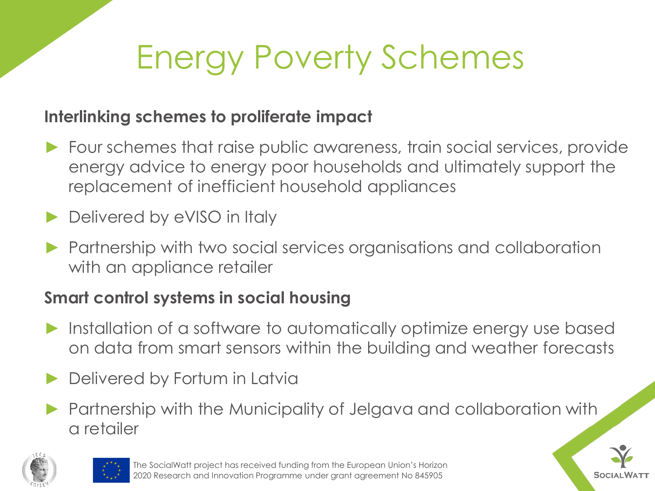#### **Interlinking schemes to proliferate impact**

- ► Four schemes that raise public awareness, train social services, provide energy advice to energy poor households and ultimately support the replacement of inefficient household appliances
- Delivered by eVISO in Italy
- Partnership with two social services organisations and collaboration with an appliance retailer

### **Smart control systems in social housing**

- ► Installation of a software to automatically optimize energy use based on data from smart sensors within the building and weather forecasts
- Delivered by Fortum in Latvia
- ▶ Partnership with the Municipality of Jelgava and collaboration with a retailer





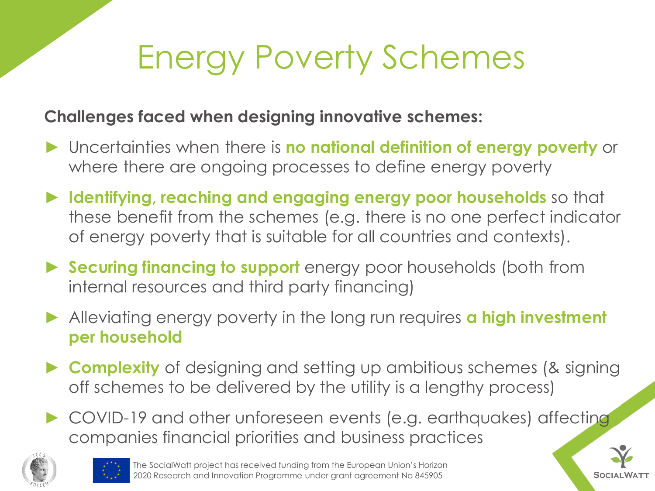#### **Challenges faced when designing innovative schemes:**

- ► Uncertainties when there is **no national definition of energy poverty** or where there are ongoing processes to define energy poverty
- ► **Identifying, reaching and engaging energy poor households** so that these benefit from the schemes (e.g. there is no one perfect indicator of energy poverty that is suitable for all countries and contexts).
- ► **Securing financing to support** energy poor households (both from internal resources and third party financing)
- ► Alleviating energy poverty in the long run requires **a high investment per household**
- ► **Complexity** of designing and setting up ambitious schemes (& signing off schemes to be delivered by the utility is a lengthy process)
- ► COVID-19 and other unforeseen events (e.g. earthquakes) affecting companies financial priorities and business practices





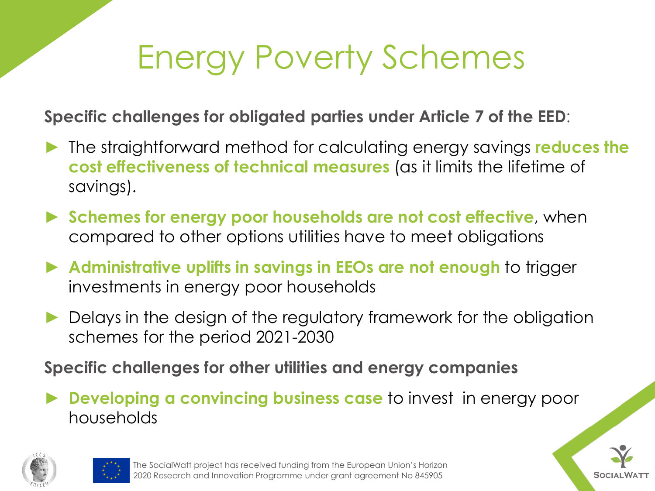**Specific challenges for obligated parties under Article 7 of the EED**:

- ► The straightforward method for calculating energy savings **reduces the cost effectiveness of technical measures** (as it limits the lifetime of savings).
- ► **Schemes for energy poor households are not cost effective**, when compared to other options utilities have to meet obligations
- ► **Administrative uplifts in savings in EEOs are not enough** to trigger investments in energy poor households
- Delays in the design of the regulatory framework for the obligation schemes for the period 2021-2030

**Specific challenges for other utilities and energy companies**

**Developing a convincing business case** to invest in energy poor households

**SOCIAL** 



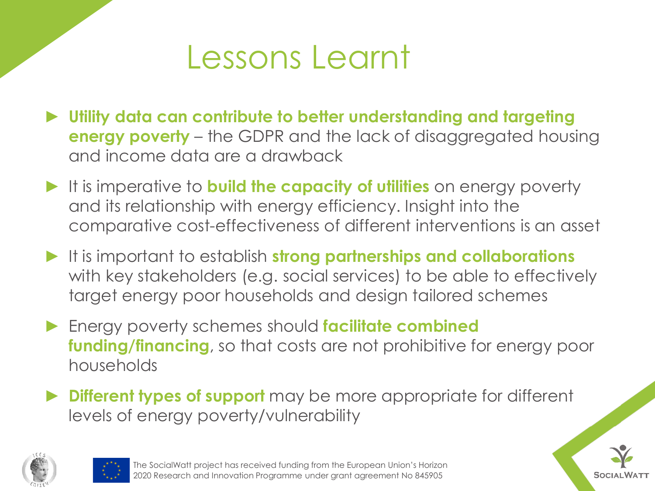### Lessons Learnt

- ► **Utility data can contribute to better understanding and targeting energy poverty** – the GDPR and the lack of disaggregated housing and income data are a drawback
- ► It is imperative to **build the capacity of utilities** on energy poverty and its relationship with energy efficiency. Insight into the comparative cost-effectiveness of different interventions is an asset
- ► It is important to establish **strong partnerships and collaborations**  with key stakeholders (e.g. social services) to be able to effectively target energy poor households and design tailored schemes
- ► Energy poverty schemes should **facilitate combined funding/financing**, so that costs are not prohibitive for energy poor households
- ► **Different types of support** may be more appropriate for different levels of energy poverty/vulnerability





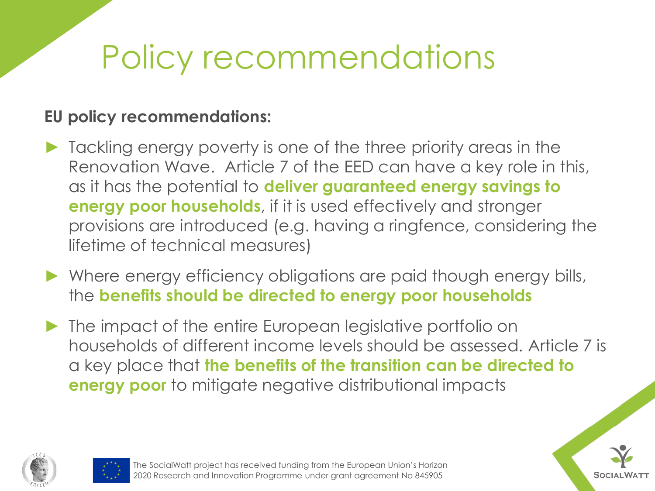# Policy recommendations

#### **EU policy recommendations:**

- ► Tackling energy poverty is one of the three priority areas in the Renovation Wave. Article 7 of the EED can have a key role in this, as it has the potential to **deliver guaranteed energy savings to energy poor households**, if it is used effectively and stronger provisions are introduced (e.g. having a ringfence, considering the lifetime of technical measures)
- ► Where energy efficiency obligations are paid though energy bills, the **benefits should be directed to energy poor households**
- ▶ The impact of the entire European legislative portfolio on households of different income levels should be assessed. Article 7 is a key place that **the benefits of the transition can be directed to energy poor** to mitigate negative distributional impacts





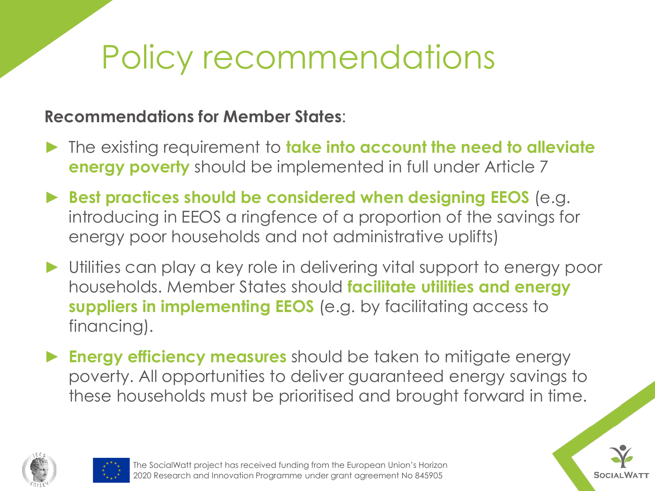# Policy recommendations

#### **Recommendations for Member States**:

- ► The existing requirement to **take into account the need to alleviate energy poverty** should be implemented in full under Article 7
- ► **Best practices should be considered when designing EEOS** (e.g. introducing in EEOS a ringfence of a proportion of the savings for energy poor households and not administrative uplifts)
- ► Utilities can play a key role in delivering vital support to energy poor households. Member States should **facilitate utilities and energy suppliers in implementing EEOS** (e.g. by facilitating access to financing).
- ► **Energy efficiency measures** should be taken to mitigate energy poverty. All opportunities to deliver guaranteed energy savings to these households must be prioritised and brought forward in time.